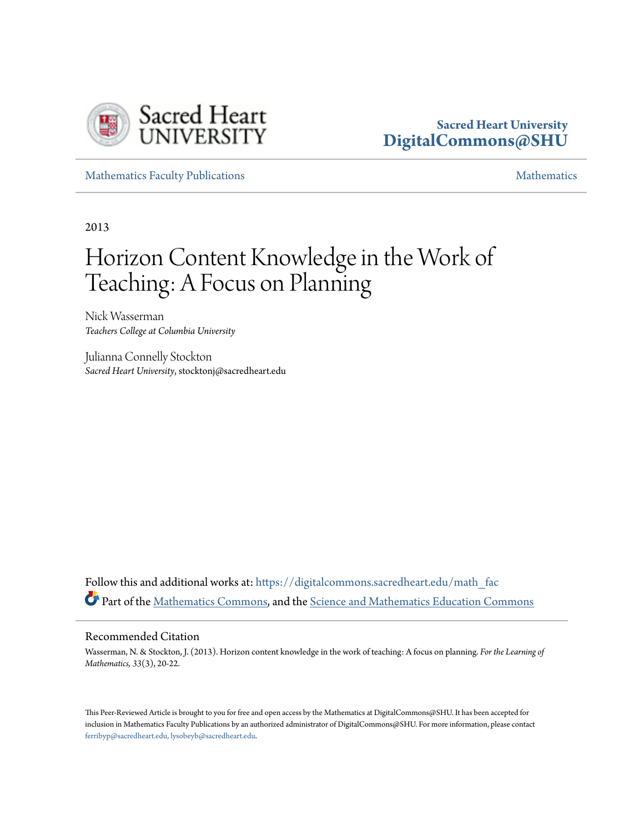

### **Sacred Heart University [DigitalCommons@SHU](https://digitalcommons.sacredheart.edu?utm_source=digitalcommons.sacredheart.edu%2Fmath_fac%2F41&utm_medium=PDF&utm_campaign=PDFCoverPages)**

[Mathematics Faculty Publications](https://digitalcommons.sacredheart.edu/math_fac?utm_source=digitalcommons.sacredheart.edu%2Fmath_fac%2F41&utm_medium=PDF&utm_campaign=PDFCoverPages) [Mathematics](https://digitalcommons.sacredheart.edu/math?utm_source=digitalcommons.sacredheart.edu%2Fmath_fac%2F41&utm_medium=PDF&utm_campaign=PDFCoverPages) Mathematics

2013

# Horizon Content Knowledge in the Work of Teaching: A Focus on Planning

Nick Wasserman *Teachers College at Columbia University*

Julianna Connelly Stockton *Sacred Heart University*, stocktonj@sacredheart.edu

Follow this and additional works at: [https://digitalcommons.sacredheart.edu/math\\_fac](https://digitalcommons.sacredheart.edu/math_fac?utm_source=digitalcommons.sacredheart.edu%2Fmath_fac%2F41&utm_medium=PDF&utm_campaign=PDFCoverPages) Part of the [Mathematics Commons](http://network.bepress.com/hgg/discipline/174?utm_source=digitalcommons.sacredheart.edu%2Fmath_fac%2F41&utm_medium=PDF&utm_campaign=PDFCoverPages), and the [Science and Mathematics Education Commons](http://network.bepress.com/hgg/discipline/800?utm_source=digitalcommons.sacredheart.edu%2Fmath_fac%2F41&utm_medium=PDF&utm_campaign=PDFCoverPages)

#### Recommended Citation

Wasserman, N. & Stockton, J. (2013). Horizon content knowledge in the work of teaching: A focus on planning. *For the Learning of Mathematics, 33*(3), 20-22.

This Peer-Reviewed Article is brought to you for free and open access by the Mathematics at DigitalCommons@SHU. It has been accepted for inclusion in Mathematics Faculty Publications by an authorized administrator of DigitalCommons@SHU. For more information, please contact [ferribyp@sacredheart.edu, lysobeyb@sacredheart.edu.](mailto:ferribyp@sacredheart.edu,%20lysobeyb@sacredheart.edu)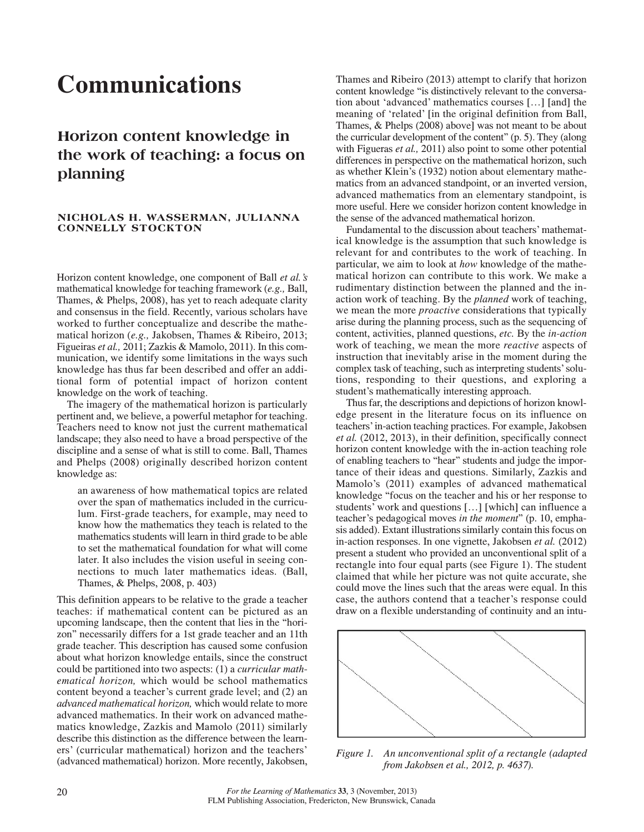## **Communications**

## **Horizon content knowledge in the work of teaching: a focus on planning**

#### **NICHOLAS H. WASSERMAN, JULIANNA CONNELLY STOCKTON**

Horizon content knowledge, one component of Ball *et al.'s* mathematical knowledge for teaching framework (*e.g.,* Ball, Thames, & Phelps, 2008), has yet to reach adequate clarity and consensus in the field. Recently, various scholars have worked to further conceptualize and describe the mathematical horizon (*e.g.,* Jakobsen, Thames & Ribeiro, 2013; Figueiras *et al.,* 2011; Zazkis & Mamolo, 2011). In this communication, we identify some limitations in the ways such knowledge has thus far been described and offer an additional form of potential impact of horizon content knowledge on the work of teaching.

The imagery of the mathematical horizon is particularly pertinent and, we believe, a powerful metaphor for teaching. Teachers need to know not just the current mathematical landscape; they also need to have a broad perspective of the discipline and a sense of what is still to come. Ball, Thames and Phelps (2008) originally described horizon content knowledge as:

an awareness of how mathematical topics are related over the span of mathematics included in the curriculum. First-grade teachers, for example, may need to know how the mathematics they teach is related to the mathematics students will learn in third grade to be able to set the mathematical foundation for what will come later. It also includes the vision useful in seeing connections to much later mathematics ideas. (Ball, Thames, & Phelps, 2008, p. 403)

This definition appears to be relative to the grade a teacher teaches: if mathematical content can be pictured as an upcoming landscape, then the content that lies in the "horizon" necessarily differs for a 1st grade teacher and an 11th grade teacher. This description has caused some confusion about what horizon knowledge entails, since the construct could be partitioned into two aspects: (1) a *curricular mathematical horizon,* which would be school mathematics content beyond a teacher's current grade level; and (2) an *advanced mathematical horizon,* which would relate to more advanced mathematics. In their work on advanced mathematics knowledge, Zazkis and Mamolo (2011) similarly describe this distinction as the difference between the learners' (curricular mathematical) horizon and the teachers' (advanced mathematical) horizon. More recently, Jakobsen,

Thames and Ribeiro (2013) attempt to clarify that horizon content knowledge "is distinctively relevant to the conversation about 'advanced' mathematics courses […] [and] the meaning of 'related' [in the original definition from Ball, Thames, & Phelps (2008) above] was not meant to be about the curricular development of the content" (p. 5). They (along with Figueras *et al.,* 2011) also point to some other potential differences in perspective on the mathematical horizon, such as whether Klein's (1932) notion about elementary mathematics from an advanced standpoint, or an inverted version, advanced mathematics from an elementary standpoint, is more useful. Here we consider horizon content knowledge in the sense of the advanced mathematical horizon.

Fundamental to the discussion about teachers' mathematical knowledge is the assumption that such knowledge is relevant for and contributes to the work of teaching. In particular, we aim to look at *how* knowledge of the mathematical horizon can contribute to this work. We make a rudimentary distinction between the planned and the inaction work of teaching. By the *planned* work of teaching, we mean the more *proactive* considerations that typically arise during the planning process, such as the sequencing of content, activities, planned questions, *etc.* By the *in-action* work of teaching, we mean the more *reactive* aspects of instruction that inevitably arise in the moment during the complex task of teaching, such as interpreting students' solutions, responding to their questions, and exploring a student's mathematically interesting approach.

Thus far, the descriptions and depictions of horizon knowledge present in the literature focus on its influence on teachers' in-action teaching practices. For example, Jakobsen *et al.* (2012, 2013), in their definition, specifically connect horizon content knowledge with the in-action teaching role of enabling teachers to "hear" students and judge the importance of their ideas and questions. Similarly, Zazkis and Mamolo's (2011) examples of advanced mathematical knowledge "focus on the teacher and his or her response to students' work and questions […] [which] can influence a teacher's pedagogical moves *in the moment*" (p. 10, emphasis added). Extant illustrations similarly contain this focus on in-action responses. In one vignette, Jakobsen *et al.* (2012) present a student who provided an unconventional split of a rectangle into four equal parts (see Figure 1). The student claimed that while her picture was not quite accurate, she could move the lines such that the areas were equal. In this case, the authors contend that a teacher's response could draw on a flexible understanding of continuity and an intu-



*Figure 1. An unconventional split of a rectangle (adapted from Jakobsen et al., 2012, p. 4637).*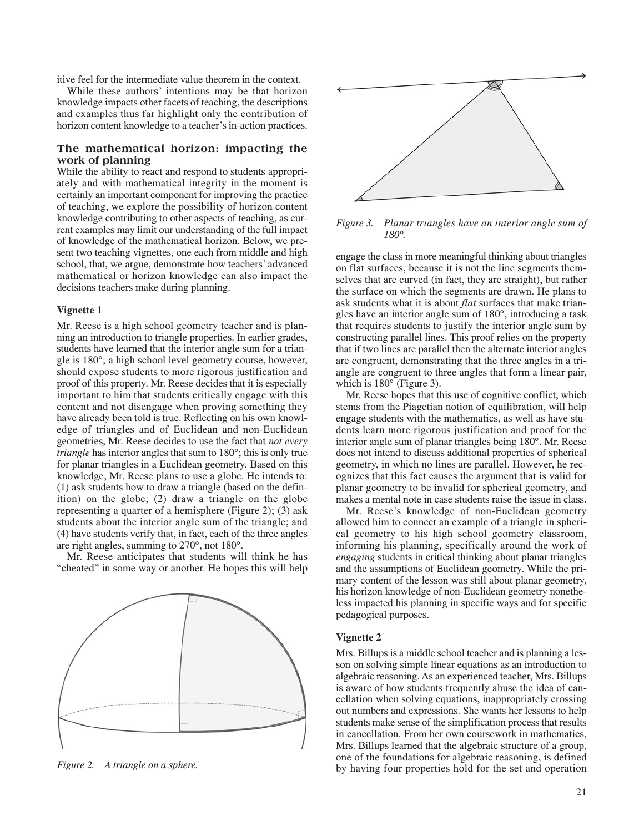itive feel for the intermediate value theorem in the context.

While these authors' intentions may be that horizon knowledge impacts other facets of teaching, the descriptions and examples thus far highlight only the contribution of horizon content knowledge to a teacher's in-action practices.

#### **The mathematical horizon: impacting the work of planning**

While the ability to react and respond to students appropriately and with mathematical integrity in the moment is certainly an important component for improving the practice of teaching, we explore the possibility of horizon content knowledge contributing to other aspects of teaching, as current examples may limit our understanding of the full impact of knowledge of the mathematical horizon. Below, we present two teaching vignettes, one each from middle and high school, that, we argue, demonstrate how teachers' advanced mathematical or horizon knowledge can also impact the decisions teachers make during planning.

#### **Vignette 1**

Mr. Reese is a high school geometry teacher and is planning an introduction to triangle properties. In earlier grades, students have learned that the interior angle sum for a triangle is 180°; a high school level geometry course, however, should expose students to more rigorous justification and proof of this property. Mr. Reese decides that it is especially important to him that students critically engage with this content and not disengage when proving something they have already been told is true. Reflecting on his own knowledge of triangles and of Euclidean and non-Euclidean geometries, Mr. Reese decides to use the fact that *not every triangle* has interior angles that sum to 180°; this is only true for planar triangles in a Euclidean geometry. Based on this knowledge, Mr. Reese plans to use a globe. He intends to: (1) ask students how to draw a triangle (based on the definition) on the globe; (2) draw a triangle on the globe representing a quarter of a hemisphere (Figure 2); (3) ask students about the interior angle sum of the triangle; and (4) have students verify that, in fact, each of the three angles are right angles, summing to 270°, not 180°.

Mr. Reese anticipates that students will think he has "cheated" in some way or another. He hopes this will help



*Figure 2. A triangle on a sphere.*



*Figure 3. Planar triangles have an interior angle sum of 180°.*

engage the class in more meaningful thinking about triangles on flat surfaces, because it is not the line segments themselves that are curved (in fact, they are straight), but rather the surface on which the segments are drawn. He plans to ask students what it is about *flat* surfaces that make triangles have an interior angle sum of 180°, introducing a task that requires students to justify the interior angle sum by constructing parallel lines. This proof relies on the property that if two lines are parallel then the alternate interior angles are congruent, demonstrating that the three angles in a triangle are congruent to three angles that form a linear pair, which is 180° (Figure 3).

Mr. Reese hopes that this use of cognitive conflict, which stems from the Piagetian notion of equilibration, will help engage students with the mathematics, as well as have students learn more rigorous justification and proof for the interior angle sum of planar triangles being 180°. Mr. Reese does not intend to discuss additional properties of spherical geometry, in which no lines are parallel. However, he recognizes that this fact causes the argument that is valid for planar geometry to be invalid for spherical geometry, and makes a mental note in case students raise the issue in class.

Mr. Reese's knowledge of non-Euclidean geometry allowed him to connect an example of a triangle in spherical geometry to his high school geometry classroom, informing his planning, specifically around the work of *engaging* students in critical thinking about planar triangles and the assumptions of Euclidean geometry. While the primary content of the lesson was still about planar geometry, his horizon knowledge of non-Euclidean geometry nonetheless impacted his planning in specific ways and for specific pedagogical purposes.

#### **Vignette 2**

Mrs. Billups is a middle school teacher and is planning a lesson on solving simple linear equations as an introduction to algebraic reasoning. As an experienced teacher, Mrs. Billups is aware of how students frequently abuse the idea of cancellation when solving equations, inappropriately crossing out numbers and expressions. She wants her lessons to help students make sense of the simplification process that results in cancellation. From her own coursework in mathematics, Mrs. Billups learned that the algebraic structure of a group, one of the foundations for algebraic reasoning, is defined by having four properties hold for the set and operation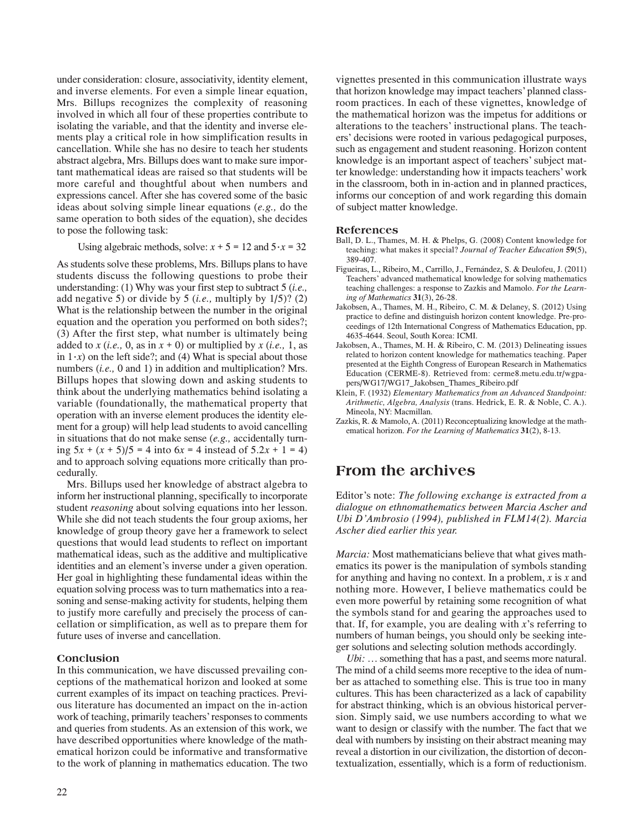under consideration: closure, associativity, identity element, and inverse elements. For even a simple linear equation, Mrs. Billups recognizes the complexity of reasoning involved in which all four of these properties contribute to isolating the variable, and that the identity and inverse elements play a critical role in how simplification results in cancellation. While she has no desire to teach her students abstract algebra, Mrs. Billups does want to make sure important mathematical ideas are raised so that students will be more careful and thoughtful about when numbers and expressions cancel. After she has covered some of the basic ideas about solving simple linear equations (*e.g.,* do the same operation to both sides of the equation), she decides to pose the following task:

Using algebraic methods, solve:  $x + 5 = 12$  and  $5 \cdot x = 32$ 

As students solve these problems, Mrs. Billups plans to have students discuss the following questions to probe their understanding: (1) Why was your first step to subtract 5 (*i.e.,* add negative 5) or divide by 5 (*i.e.,* multiply by 1/5)? (2) What is the relationship between the number in the original equation and the operation you performed on both sides?; (3) After the first step, what number is ultimately being added to *x* (*i.e.*, 0, as in  $x + 0$ ) or multiplied by *x* (*i.e.*, 1, as in  $1 \cdot x$  on the left side?; and (4) What is special about those numbers (*i.e.,* 0 and 1) in addition and multiplication? Mrs. Billups hopes that slowing down and asking students to think about the underlying mathematics behind isolating a variable (foundationally, the mathematical property that operation with an inverse element produces the identity element for a group) will help lead students to avoid cancelling in situations that do not make sense (*e.g.,* accidentally turning 5*x* + (*x* + 5)/5 = 4 into 6*x* = 4 instead of 5.2*x* + 1 = 4) and to approach solving equations more critically than procedurally.

Mrs. Billups used her knowledge of abstract algebra to inform her instructional planning, specifically to incorporate student *reasoning* about solving equations into her lesson. While she did not teach students the four group axioms, her knowledge of group theory gave her a framework to select questions that would lead students to reflect on important mathematical ideas, such as the additive and multiplicative identities and an element's inverse under a given operation. Her goal in highlighting these fundamental ideas within the equation solving process was to turn mathematics into a reasoning and sense-making activity for students, helping them to justify more carefully and precisely the process of cancellation or simplification, as well as to prepare them for future uses of inverse and cancellation.

#### **Conclusion**

In this communication, we have discussed prevailing conceptions of the mathematical horizon and looked at some current examples of its impact on teaching practices. Previous literature has documented an impact on the in-action work of teaching, primarily teachers' responses to comments and queries from students. As an extension of this work, we have described opportunities where knowledge of the mathematical horizon could be informative and transformative to the work of planning in mathematics education. The two

vignettes presented in this communication illustrate ways that horizon knowledge may impact teachers' planned classroom practices. In each of these vignettes, knowledge of the mathematical horizon was the impetus for additions or alterations to the teachers' instructional plans. The teachers' decisions were rooted in various pedagogical purposes, such as engagement and student reasoning. Horizon content knowledge is an important aspect of teachers' subject matter knowledge: understanding how it impacts teachers' work in the classroom, both in in-action and in planned practices, informs our conception of and work regarding this domain of subject matter knowledge.

#### **References**

- Ball, D. L., Thames, M. H. & Phelps, G. (2008) Content knowledge for teaching: what makes it special? *Journal of Teacher Education* **59**(5), 389-407.
- Figueiras, L., Ribeiro, M., Carrillo, J., Fernández, S. & Deulofeu, J. (2011) Teachers' advanced mathematical knowledge for solving mathematics teaching challenges: a response to Zazkis and Mamolo. *For the Learning of Mathematics* **31**(3), 26-28.
- Jakobsen, A., Thames, M. H., Ribeiro, C. M. & Delaney, S. (2012) Using practice to define and distinguish horizon content knowledge. Pre-proceedings of 12th International Congress of Mathematics Education, pp. 4635-4644. Seoul, South Korea: ICMI.
- Jakobsen, A., Thames, M. H. & Ribeiro, C. M. (2013) Delineating issues related to horizon content knowledge for mathematics teaching. Paper presented at the Eighth Congress of European Research in Mathematics Education (CERME-8). Retrieved from: cerme8.metu.edu.tr/wgpapers/WG17/WG17\_Jakobsen\_Thames\_Ribeiro.pdf
- Klein, F. (1932) *Elementary Mathematics from an Advanced Standpoint: Arithmetic, Algebra, Analysis* (trans. Hedrick, E. R. & Noble, C. A.). Mineola, NY: Macmillan.
- Zazkis, R. & Mamolo, A. (2011) Reconceptualizing knowledge at the mathematical horizon. *For the Learning of Mathematics* **31**(2), 8-13.

### **From the archives**

Editor's note: *The following exchange is extracted from a dialogue on ethnomathematics between Marcia Ascher and Ubi D'Ambrosio (1994), published in FLM14(2). Marcia Ascher died earlier this year.*

*Marcia:* Most mathematicians believe that what gives mathematics its power is the manipulation of symbols standing for anything and having no context. In a problem, *x* is *x* and nothing more. However, I believe mathematics could be even more powerful by retaining some recognition of what the symbols stand for and gearing the approaches used to that. If, for example, you are dealing with *x*'s referring to numbers of human beings, you should only be seeking integer solutions and selecting solution methods accordingly.

*Ubi:* … something that has a past, and seems more natural. The mind of a child seems more receptive to the idea of number as attached to something else. This is true too in many cultures. This has been characterized as a lack of capability for abstract thinking, which is an obvious historical perversion. Simply said, we use numbers according to what we want to design or classify with the number. The fact that we deal with numbers by insisting on their abstract meaning may reveal a distortion in our civilization, the distortion of decontextualization, essentially, which is a form of reductionism.